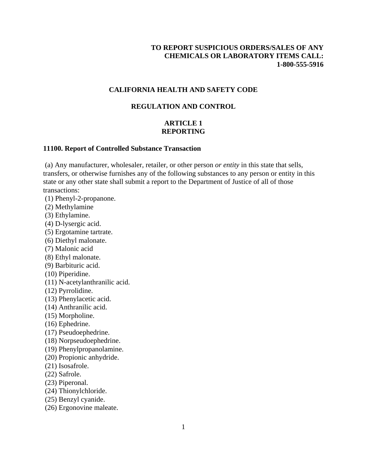# **TO REPORT SUSPICIOUS ORDERS/SALES OF ANY CHEMICALS OR LABORATORY ITEMS CALL: 1-800-555-5916**

## **CALIFORNIA HEALTH AND SAFETY CODE**

## **REGULATION AND CONTROL**

# **ARTICLE 1 REPORTING**

#### **11100. Report of Controlled Substance Transaction**

 (a) Any manufacturer, wholesaler, retailer, or other person *or entity* in this state that sells, transfers, or otherwise furnishes any of the following substances to any person or entity in this state or any other state shall submit a report to the Department of Justice of all of those transactions:

- (1) Phenyl-2-propanone.
- (2) Methylamine
- (3) Ethylamine.
- (4) D-lysergic acid.
- (5) Ergotamine tartrate.
- (6) Diethyl malonate.
- (7) Malonic acid
- (8) Ethyl malonate.
- (9) Barbituric acid.
- (10) Piperidine.
- (11) N-acetylanthranilic acid.
- (12) Pyrrolidine.
- (13) Phenylacetic acid.
- (14) Anthranilic acid.
- (15) Morpholine.
- (16) Ephedrine.
- (17) Pseudoephedrine.
- (18) Norpseudoephedrine.
- (19) Phenylpropanolamine.
- (20) Propionic anhydride.
- (21) Isosafrole.
- (22) Safrole.
- (23) Piperonal.
- (24) Thionylchloride.
- (25) Benzyl cyanide.
- (26) Ergonovine maleate.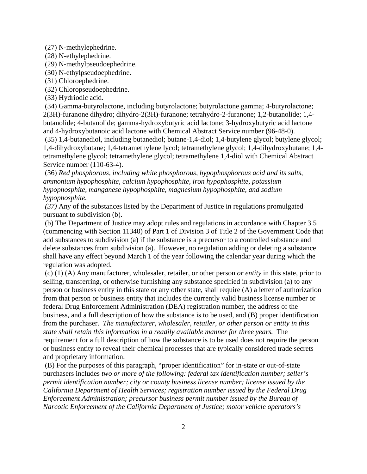(27) N-methylephedrine.

(28) N-ethylephedrine.

(29) N-methylpseudoephedrine.

(30) N-ethylpseudoephedrine.

(31) Chloroephedrine.

(32) Chloropseudoephedrine.

(33) Hydriodic acid.

 (34) Gamma-butyrolactone, including butyrolactone; butyrolactone gamma; 4-butyrolactone; 2(3H)-furanone dihydro; dihydro-2(3H)-furanone; tetrahydro-2-furanone; 1,2-butanolide; 1,4 butanolide; 4-butanolide; gamma-hydroxybutyric acid lactone; 3-hydroxybutyric acid lactone and 4-hydroxybutanoic acid lactone with Chemical Abstract Service number (96-48-0).

 (35) 1,4-butanediol, including butanediol; butane-1,4-diol; 1,4-butylene glycol; butylene glycol; 1,4-dihydroxybutane; 1,4-tetramethylene lycol; tetramethylene glycol; 1,4-dihydroxybutane; 1,4 tetramethylene glycol; tetramethylene glycol; tetramethylene 1,4-diol with Chemical Abstract Service number (110-63-4).

 (36) *Red phosphorous, including white phosphorous, hypophosphorous acid and its salts, ammonium hypophosphite, calcium hypophosphite, iron hypophosphite, potassium hypophosphite, manganese hypophosphite, magnesium hypophosphite, and sodium hypophosphite.* 

*(37)* Any of the substances listed by the Department of Justice in regulations promulgated pursuant to subdivision (b).

 (b) The Department of Justice may adopt rules and regulations in accordance with Chapter 3.5 (commencing with Section 11340) of Part 1 of Division 3 of Title 2 of the Government Code that add substances to subdivision (a) if the substance is a precursor to a controlled substance and delete substances from subdivision (a). However, no regulation adding or deleting a substance shall have any effect beyond March 1 of the year following the calendar year during which the regulation was adopted.

 (c) (1) (A) Any manufacturer, wholesaler, retailer, or other person *or entity* in this state, prior to selling, transferring, or otherwise furnishing any substance specified in subdivision (a) to any person or business entity in this state or any other state, shall require (A) a letter of authorization from that person or business entity that includes the currently valid business license number or federal Drug Enforcement Administration (DEA) registration number, the address of the business, and a full description of how the substance is to be used, and (B) proper identification from the purchaser. *The manufacturer, wholesaler, retailer, or other person or entity in this state shall retain this information in a readily available manner for three years.* The requirement for a full description of how the substance is to be used does not require the person or business entity to reveal their chemical processes that are typically considered trade secrets and proprietary information.

 (B) For the purposes of this paragraph, "proper identification" for in-state or out-of-state purchasers includes *two or more of the following: federal tax identification number; seller's permit identification number; city or county business license number; license issued by the California Department of Health Services; registration number issued by the Federal Drug Enforcement Administration; precursor business permit number issued by the Bureau of Narcotic Enforcement of the California Department of Justice; motor vehicle operators's*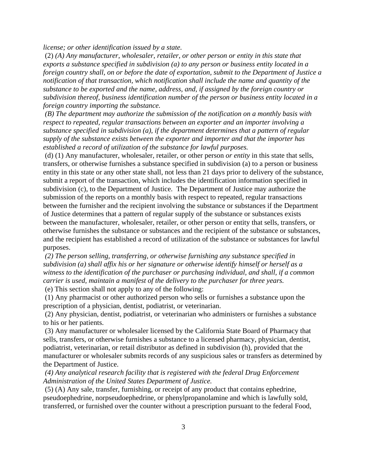*license; or other identification issued by a state.*

 (2) *(A) Any manufacturer, wholesaler, retailer, or other person or entity in this state that exports a substance specified in subdivision (a) to any person or business entity located in a foreign country shall, on or before the date of exportation, submit to the Department of Justice a notification of that transaction, which notification shall include the name and quantity of the substance to be exported and the name, address, and, if assigned by the foreign country or subdivision thereof, business identification number of the person or business entity located in a foreign country importing the substance.* 

*( B) The department may authorize the submission of the notification on a monthly basis with respect to repeated, regular transactions between an exporter and an importer involving a substance specified in subdivision (a), if the department determines that a pattern of regular supply of the substance exists between the exporter and importer and that the importer has established a record of utilization of the substance for lawful purposes.*

 (d) (1) Any manufacturer, wholesaler, retailer, or other person *or entity* in this state that sells, transfers, or otherwise furnishes a substance specified in subdivision (a) to a person or business entity in this state or any other state shall, not less than 21 days prior to delivery of the substance, submit a report of the transaction, which includes the identification information specified in subdivision (c), to the Department of Justice. The Department of Justice may authorize the submission of the reports on a monthly basis with respect to repeated, regular transactions between the furnisher and the recipient involving the substance or substances if the Department of Justice determines that a pattern of regular supply of the substance or substances exists between the manufacturer, wholesaler, retailer, or other person or entity that sells, transfers, or otherwise furnishes the substance or substances and the recipient of the substance or substances, and the recipient has established a record of utilization of the substance or substances for lawful purposes.

 *(2) The person selling, transferring, or otherwise furnishing any substance specified in subdivision (a) shall affix his or her signature or otherwise identify himself or herself as a witness to the identification of the purchaser or purchasing individual, and shall, if a common carrier is used, maintain a manifest of the delivery to the purchaser for three years.*

(e) This section shall not apply to any of the following:

 (1) Any pharmacist or other authorized person who sells or furnishes a substance upon the prescription of a physician, dentist, podiatrist, or veterinarian.

 (2) Any physician, dentist, podiatrist, or veterinarian who administers or furnishes a substance to his or her patients.

 (3) Any manufacturer or wholesaler licensed by the California State Board of Pharmacy that sells, transfers, or otherwise furnishes a substance to a licensed pharmacy, physician, dentist, podiatrist, veterinarian, or retail distributor as defined in subdivision (h), provided that the manufacturer or wholesaler submits records of any suspicious sales or transfers as determined by the Department of Justice.

*(4) Any analytical research facility that is registered with the federal Drug Enforcement Administration of the United States Department of Justice.*

 (5) (A) Any sale, transfer, furnishing, or receipt of any product that contains ephedrine, pseudoephedrine, norpseudoephedrine, or phenylpropanolamine and which is lawfully sold, transferred, or furnished over the counter without a prescription pursuant to the federal Food,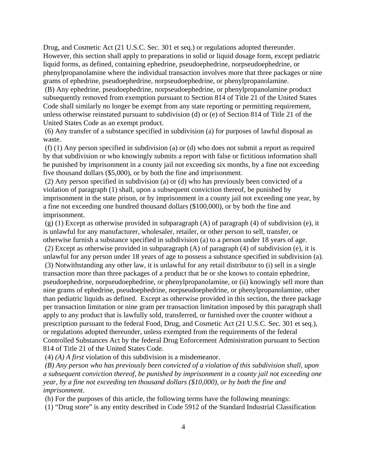Drug, and Cosmetic Act (21 U.S.C. Sec. 301 et seq.) or regulations adopted thereunder. However, this section shall apply to preparations in solid or liquid dosage form, except pediatric liquid forms, as defined, containing ephedrine, pseudoephedrine, norpseudoephedrine, or phenylpropanolamine where the individual transaction involves more that three packages or nine grams of ephedrine, pseudoephedrine, norpseudoephedrine, or phenylpropanolamine.

 (B) Any ephedrine, pseudoephedrine, norpseudoephedrine, or phenylpropanolamine product subsequently removed from exemption pursuant to Section 814 of Title 21 of the United States Code shall similarly no longer be exempt from any state reporting or permitting requirement, unless otherwise reinstated pursuant to subdivision (d) or (e) of Section 814 of Title 21 of the United States Code as an exempt product.

 (6) Any transfer of a substance specified in subdivision (a) for purposes of lawful disposal as waste.

 (f) (1) Any person specified in subdivision (a) or (d) who does not submit a report as required by that subdivision or who knowingly submits a report with false or fictitious information shall be punished by imprisonment in a county jail not exceeding six months, by a fine not exceeding five thousand dollars (\$5,000), or by both the fine and imprisonment.

 (2) Any person specified in subdivision (a) or (d) who has previously been convicted of a violation of paragraph (1) shall, upon a subsequent conviction thereof, be punished by imprisonment in the state prison, or by imprisonment in a county jail not exceeding one year, by a fine not exceeding one hundred thousand dollars (\$100,000), or by both the fine and imprisonment.

 $(g)$  (1) Except as otherwise provided in subparagraph (A) of paragraph (4) of subdivision (e), it is unlawful for any manufacturer, wholesaler, retailer, or other person to sell, transfer, or otherwise furnish a substance specified in subdivision (a) to a person under 18 years of age.

 (2) Except as otherwise provided in subparagraph (A) of paragraph (4) of subdivision (e), it is unlawful for any person under 18 years of age to possess a substance specified in subdivision (a). (3) Notwithstanding any other law, it is unlawful for any retail distributor to (i) sell in a single transaction more than three packages of a product that he or she knows to contain ephedrine, pseudoephedrine, norpseudoephedrine, or phenylpropanolamine, or (ii) knowingly sell more than nine grams of ephedrine, pseudoephedrine, norpseudoephedrine, or phenylpropanolamine, other than pediatric liquids as defined. Except as otherwise provided in this section, the three package per transaction limitation or nine gram per transaction limitation imposed by this paragraph shall apply to any product that is lawfully sold, transferred, or furnished over the counter without a prescription pursuant to the federal Food, Drug, and Cosmetic Act (21 U.S.C. Sec. 301 et seq.), or regulations adopted thereunder, unless exempted from the requirements of the federal Controlled Substances Act by the federal Drug Enforcement Administration pursuant to Section 814 of Title 21 of the United States Code.

(4) *(A) A first* violation of this subdivision is a misdemeanor.

*(B) Any person who has previously been convicted of a violation of this subdivision shall, upon a subsequent conviction thereof, be punished by imprisonment in a county jail not exceeding one year, by a fine not exceeding ten thousand dollars (\$10,000), or by both the fine and imprisonment*.

(h) For the purposes of this article, the following terms have the following meanings:

(1) "Drug store" is any entity described in Code 5912 of the Standard Industrial Classification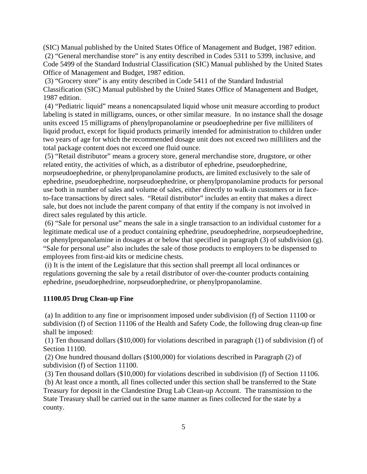(SIC) Manual published by the United States Office of Management and Budget, 1987 edition. (2) "General merchandise store" is any entity described in Codes 5311 to 5399, inclusive, and Code 5499 of the Standard Industrial Classification (SIC) Manual published by the United States Office of Management and Budget, 1987 edition.

 (3) "Grocery store" is any entity described in Code 5411 of the Standard Industrial Classification (SIC) Manual published by the United States Office of Management and Budget, 1987 edition.

 (4) "Pediatric liquid" means a nonencapsulated liquid whose unit measure according to product labeling is stated in milligrams, ounces, or other similar measure. In no instance shall the dosage units exceed 15 milligrams of phenylpropanolamine or pseudoephedrine per five milliliters of liquid product, except for liquid products primarily intended for administration to children under two years of age for which the recommended dosage unit does not exceed two milliliters and the total package content does not exceed one fluid ounce.

 (5) "Retail distributor" means a grocery store, general merchandise store, drugstore, or other related entity, the activities of which, as a distributor of ephedrine, pseudoephedrine, norpseudoephedrine, or phenylpropanolamine products, are limited exclusively to the sale of ephedrine, pseudoephedrine, norpseudoephedrine, or phenylpropanolamine products for personal use both in number of sales and volume of sales, either directly to walk-in customers or in faceto-face transactions by direct sales. "Retail distributor" includes an entity that makes a direct sale, but does not include the parent company of that entity if the company is not involved in direct sales regulated by this article.

 (6) "Sale for personal use" means the sale in a single transaction to an individual customer for a legitimate medical use of a product containing ephedrine, pseudoephedrine, norpseudoephedrine, or phenylpropanolamine in dosages at or below that specified in paragraph (3) of subdivision (g). "Sale for personal use" also includes the sale of those products to employers to be dispensed to employees from first-aid kits or medicine chests.

 (i) It is the intent of the Legislature that this section shall preempt all local ordinances or regulations governing the sale by a retail distributor of over-the-counter products containing ephedrine, pseudoephedrine, norpseudoephedrine, or phenylpropanolamine.

# **11100.05 Drug Clean-up Fine**

 (a) In addition to any fine or imprisonment imposed under subdivision (f) of Section 11100 or subdivision (f) of Section 11106 of the Health and Safety Code, the following drug clean-up fine shall be imposed:

 (1) Ten thousand dollars (\$10,000) for violations described in paragraph (1) of subdivision (f) of Section 11100.

 (2) One hundred thousand dollars (\$100,000) for violations described in Paragraph (2) of subdivision (f) of Section 11100.

 (3) Ten thousand dollars (\$10,000) for violations described in subdivision (f) of Section 11106. (b) At least once a month, all fines collected under this section shall be transferred to the State Treasury for deposit in the Clandestine Drug Lab Clean-up Account. The transmission to the State Treasury shall be carried out in the same manner as fines collected for the state by a county.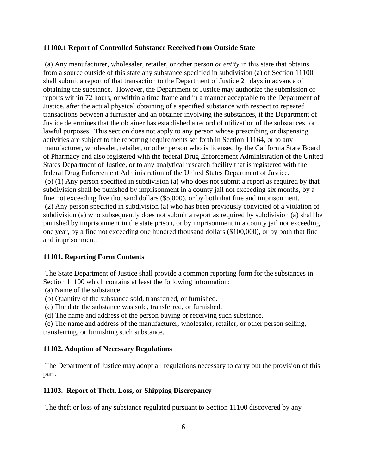### **11100.1 Report of Controlled Substance Received from Outside State**

 (a) Any manufacturer, wholesaler, retailer, or other person *or entity* in this state that obtains from a source outside of this state any substance specified in subdivision (a) of Section 11100 shall submit a report of that transaction to the Department of Justice 21 days in advance of obtaining the substance. However, the Department of Justice may authorize the submission of reports within 72 hours, or within a time frame and in a manner acceptable to the Department of Justice, after the actual physical obtaining of a specified substance with respect to repeated transactions between a furnisher and an obtainer involving the substances, if the Department of Justice determines that the obtainer has established a record of utilization of the substances for lawful purposes. This section does not apply to any person whose prescribing or dispensing activities are subject to the reporting requirements set forth in Section 11164, or to any manufacturer, wholesaler, retailer, or other person who is licensed by the California State Board of Pharmacy and also registered with the federal Drug Enforcement Administration of the United States Department of Justice, or to any analytical research facility that is registered with the federal Drug Enforcement Administration of the United States Department of Justice. (b) (1) Any person specified in subdivision (a) who does not submit a report as required by that subdivision shall be punished by imprisonment in a county jail not exceeding six months, by a fine not exceeding five thousand dollars (\$5,000), or by both that fine and imprisonment. (2) Any person specified in subdivision (a) who has been previously convicted of a violation of subdivision (a) who subsequently does not submit a report as required by subdivision (a) shall be punished by imprisonment in the state prison, or by imprisonment in a county jail not exceeding one year, by a fine not exceeding one hundred thousand dollars (\$100,000), or by both that fine and imprisonment.

# **11101. Reporting Form Contents**

 The State Department of Justice shall provide a common reporting form for the substances in Section 11100 which contains at least the following information:

(a) Name of the substance.

- (b) Quantity of the substance sold, transferred, or furnished.
- (c) The date the substance was sold, transferred, or furnished.

(d) The name and address of the person buying or receiving such substance.

 (e) The name and address of the manufacturer, wholesaler, retailer, or other person selling, transferring, or furnishing such substance.

### **11102. Adoption of Necessary Regulations**

 The Department of Justice may adopt all regulations necessary to carry out the provision of this part.

### **11103. Report of Theft, Loss, or Shipping Discrepancy**

The theft or loss of any substance regulated pursuant to Section 11100 discovered by any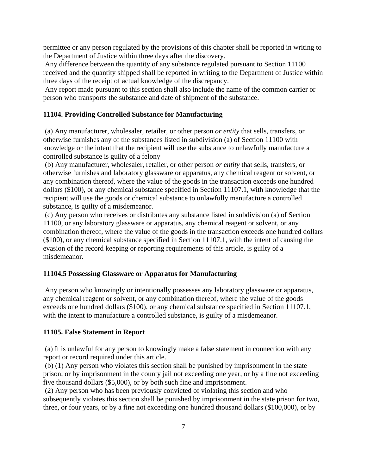permittee or any person regulated by the provisions of this chapter shall be reported in writing to the Department of Justice within three days after the discovery.

 Any difference between the quantity of any substance regulated pursuant to Section 11100 received and the quantity shipped shall be reported in writing to the Department of Justice within three days of the receipt of actual knowledge of the discrepancy.

 Any report made pursuant to this section shall also include the name of the common carrier or person who transports the substance and date of shipment of the substance.

### **11104. Providing Controlled Substance for Manufacturing**

 (a) Any manufacturer, wholesaler, retailer, or other person *or entity* that sells, transfers, or otherwise furnishes any of the substances listed in subdivision (a) of Section 11100 with knowledge or the intent that the recipient will use the substance to unlawfully manufacture a controlled substance is guilty of a felony

 (b) Any manufacturer, wholesaler, retailer, or other person *or entity* that sells, transfers, or otherwise furnishes and laboratory glassware or apparatus, any chemical reagent or solvent, or any combination thereof, where the value of the goods in the transaction exceeds one hundred dollars (\$100), or any chemical substance specified in Section 11107.1, with knowledge that the recipient will use the goods or chemical substance to unlawfully manufacture a controlled substance, is guilty of a misdemeanor.

 (c) Any person who receives or distributes any substance listed in subdivision (a) of Section 11100, or any laboratory glassware or apparatus, any chemical reagent or solvent, or any combination thereof, where the value of the goods in the transaction exceeds one hundred dollars (\$100), or any chemical substance specified in Section 11107.1, with the intent of causing the evasion of the record keeping or reporting requirements of this article, is guilty of a misdemeanor.

### **11104.5 Possessing Glassware or Apparatus for Manufacturing**

 Any person who knowingly or intentionally possesses any laboratory glassware or apparatus, any chemical reagent or solvent, or any combination thereof, where the value of the goods exceeds one hundred dollars (\$100), or any chemical substance specified in Section 11107.1, with the intent to manufacture a controlled substance, is guilty of a misdemeanor.

### **11105. False Statement in Report**

 (a) It is unlawful for any person to knowingly make a false statement in connection with any report or record required under this article.

 (b) (1) Any person who violates this section shall be punished by imprisonment in the state prison, or by imprisonment in the county jail not exceeding one year, or by a fine not exceeding five thousand dollars (\$5,000), or by both such fine and imprisonment.

 (2) Any person who has been previously convicted of violating this section and who subsequently violates this section shall be punished by imprisonment in the state prison for two, three, or four years, or by a fine not exceeding one hundred thousand dollars (\$100,000), or by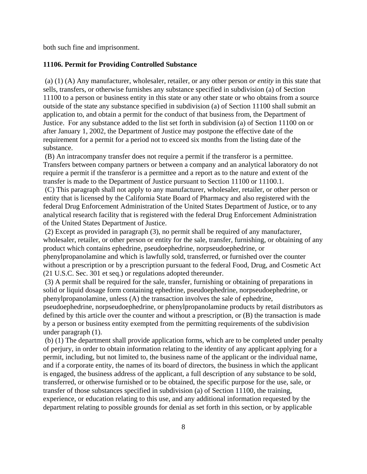both such fine and imprisonment.

### **11106. Permit for Providing Controlled Substance**

 (a) (1) (A) Any manufacturer, wholesaler, retailer, or any other person *or entity* in this state that sells, transfers, or otherwise furnishes any substance specified in subdivision (a) of Section 11100 to a person or business entity in this state or any other state or who obtains from a source outside of the state any substance specified in subdivision (a) of Section 11100 shall submit an application to, and obtain a permit for the conduct of that business from, the Department of Justice. For any substance added to the list set forth in subdivision (a) of Section 11100 on or after January 1, 2002, the Department of Justice may postpone the effective date of the requirement for a permit for a period not to exceed six months from the listing date of the substance.

 (B) An intracompany transfer does not require a permit if the transferor is a permittee. Transfers between company partners or between a company and an analytical laboratory do not require a permit if the transferor is a permittee and a report as to the nature and extent of the transfer is made to the Department of Justice pursuant to Section 11100 or 11100.1.

 (C) This paragraph shall not apply to any manufacturer, wholesaler, retailer, or other person or entity that is licensed by the California State Board of Pharmacy and also registered with the federal Drug Enforcement Administration of the United States Department of Justice, or to any analytical research facility that is registered with the federal Drug Enforcement Administration of the United States Department of Justice.

 (2) Except as provided in paragraph (3), no permit shall be required of any manufacturer, wholesaler, retailer, or other person or entity for the sale, transfer, furnishing, or obtaining of any product which contains ephedrine, pseudoephedrine, norpseudoephedrine, or phenylpropanolamine and which is lawfully sold, transferred, or furnished over the counter without a prescription or by a prescription pursuant to the federal Food, Drug, and Cosmetic Act (21 U.S.C. Sec. 301 et seq.) or regulations adopted thereunder.

 (3) A permit shall be required for the sale, transfer, furnishing or obtaining of preparations in solid or liquid dosage form containing ephedrine, pseudoephedrine, norpseudoephedrine, or phenylpropanolamine, unless (A) the transaction involves the sale of ephedrine,

pseudoephedrine, norpseudoephedrine, or phenylpropanolamine products by retail distributors as defined by this article over the counter and without a prescription, or (B) the transaction is made by a person or business entity exempted from the permitting requirements of the subdivision under paragraph (1).

 (b) (1) The department shall provide application forms, which are to be completed under penalty of perjury, in order to obtain information relating to the identity of any applicant applying for a permit, including, but not limited to, the business name of the applicant or the individual name, and if a corporate entity, the names of its board of directors, the business in which the applicant is engaged, the business address of the applicant, a full description of any substance to be sold, transferred, or otherwise furnished or to be obtained, the specific purpose for the use, sale, or transfer of those substances specified in subdivision (a) of Section 11100, the training, experience, or education relating to this use, and any additional information requested by the department relating to possible grounds for denial as set forth in this section, or by applicable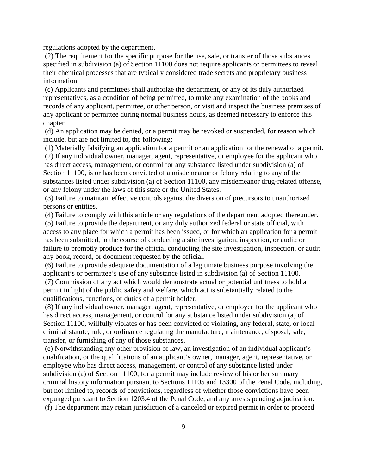regulations adopted by the department.

 (2) The requirement for the specific purpose for the use, sale, or transfer of those substances specified in subdivision (a) of Section 11100 does not require applicants or permittees to reveal their chemical processes that are typically considered trade secrets and proprietary business information.

 (c) Applicants and permittees shall authorize the department, or any of its duly authorized representatives, as a condition of being permitted, to make any examination of the books and records of any applicant, permittee, or other person, or visit and inspect the business premises of any applicant or permittee during normal business hours, as deemed necessary to enforce this chapter.

 (d) An application may be denied, or a permit may be revoked or suspended, for reason which include, but are not limited to, the following:

(1) Materially falsifying an application for a permit or an application for the renewal of a permit.

 (2) If any individual owner, manager, agent, representative, or employee for the applicant who has direct access, management, or control for any substance listed under subdivision (a) of Section 11100, is or has been convicted of a misdemeanor or felony relating to any of the substances listed under subdivision (a) of Section 11100, any misdemeanor drug-related offense, or any felony under the laws of this state or the United States.

 (3) Failure to maintain effective controls against the diversion of precursors to unauthorized persons or entities.

(4) Failure to comply with this article or any regulations of the department adopted thereunder.

 (5) Failure to provide the department, or any duly authorized federal or state official, with access to any place for which a permit has been issued, or for which an application for a permit has been submitted, in the course of conducting a site investigation, inspection, or audit; or failure to promptly produce for the official conducting the site investigation, inspection, or audit any book, record, or document requested by the official.

 (6) Failure to provide adequate documentation of a legitimate business purpose involving the applicant's or permittee's use of any substance listed in subdivision (a) of Section 11100.

 (7) Commission of any act which would demonstrate actual or potential unfitness to hold a permit in light of the public safety and welfare, which act is substantially related to the qualifications, functions, or duties of a permit holder.

 (8) If any individual owner, manager, agent, representative, or employee for the applicant who has direct access, management, or control for any substance listed under subdivision (a) of Section 11100, willfully violates or has been convicted of violating, any federal, state, or local criminal statute, rule, or ordinance regulating the manufacture, maintenance, disposal, sale, transfer, or furnishing of any of those substances.

 (e) Notwithstanding any other provision of law, an investigation of an individual applicant's qualification, or the qualifications of an applicant's owner, manager, agent, representative, or employee who has direct access, management, or control of any substance listed under subdivision (a) of Section 11100, for a permit may include review of his or her summary criminal history information pursuant to Sections 11105 and 13300 of the Penal Code, including, but not limited to, records of convictions, regardless of whether those convictions have been expunged pursuant to Section 1203.4 of the Penal Code, and any arrests pending adjudication. (f) The department may retain jurisdiction of a canceled or expired permit in order to proceed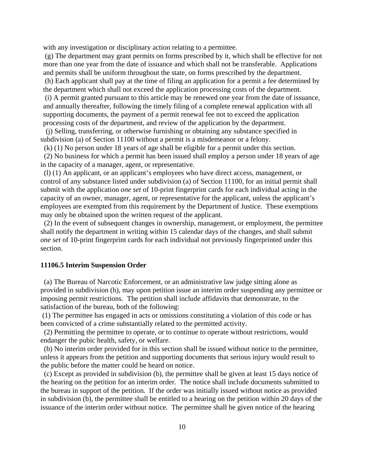with any investigation or disciplinary action relating to a permittee.

 (g) The department may grant permits on forms prescribed by it, which shall be effective for not more than one year from the date of issuance and which shall not be transferable. Applications and permits shall be uniform throughout the state, on forms prescribed by the department.

 (h) Each applicant shall pay at the time of filing an application for a permit a fee determined by the department which shall not exceed the application processing costs of the department.

 (i) A permit granted pursuant to this article may be renewed one year from the date of issuance, and annually thereafter, following the timely filing of a complete renewal application with all supporting documents, the payment of a permit renewal fee not to exceed the application processing costs of the department, and review of the application by the department.

 (j) Selling, transferring, or otherwise furnishing or obtaining any substance specified in subdivision (a) of Section 11100 without a permit is a misdemeanor or a felony.

(k) (1) No person under 18 years of age shall be eligible for a permit under this section.

 (2) No business for which a permit has been issued shall employ a person under 18 years of age in the capacity of a manager, agent, or representative.

 (l) (1) An applicant, or an applicant's employees who have direct access, management, or control of any substance listed under subdivision (a) of Section 11100, for an initial permit shall submit with the application *one set* of 10-print fingerprint cards for each individual acting in the capacity of an owner, manager, agent, or representative for the applicant, unless the applicant's employees are exempted from this requirement by the Department of Justice. These exemptions may only be obtained upon the written request of the applicant.

 (2) In the event of subsequent changes in ownership, management, or employment, the permittee shall notify the department in writing within 15 calendar days of the changes, and shall submit *one set* of 10-print fingerprint cards for each individual not previously fingerprinted under this section.

#### **11106.5 Interim Suspension Order**

 (a) The Bureau of Narcotic Enforcement, or an administrative law judge sitting alone as provided in subdivision (h), may upon petition issue an interim order suspending any permittee or imposing permit restrictions. The petition shall include affidavits that demonstrate, to the satisfaction of the bureau, both of the following:

 (1) The permittee has engaged in acts or omissions constituting a violation of this code or has been convicted of a crime substantially related to the permitted activity.

 (2) Permitting the permittee to operate, or to continue to operate without restrictions, would endanger the pubic health, safety, or welfare.

 (b) No interim order provided for in this section shall be issued without notice to the permittee, unless it appears from the petition and supporting documents that serious injury would result to the public before the matter could be heard on notice.

 (c) Except as provided in subdivision (b), the permittee shall be given at least 15 days notice of the hearing on the petition for an interim order. The notice shall include documents submitted to the bureau in support of the petition. If the order was initially issued without notice as provided in subdivision (b), the permittee shall be entitled to a hearing on the petition within 20 days of the issuance of the interim order without notice. The permittee shall be given notice of the hearing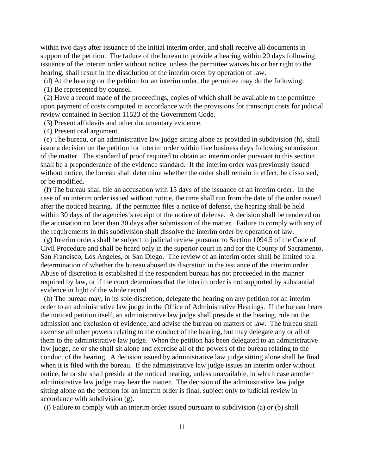within two days after issuance of the initial interim order, and shall receive all documents in support of the petition. The failure of the bureau to provide a hearing within 20 days following issuance of the interim order without notice, unless the permittee waives his or her right to the hearing, shall result in the dissolution of the interim order by operation of law.

(d) At the hearing on the petition for an interim order, the permittee may do the following:

(1) Be represented by counsel.

 (2) Have a record made of the proceedings, copies of which shall be available to the permittee upon payment of costs computed in accordance with the provisions for transcript costs for judicial review contained in Section 11523 of the Government Code.

(3) Present affidavits and other documentary evidence.

(4) Present oral argument.

 (e) The bureau, or an administrative law judge sitting alone as provided in subdivision (h), shall issue a decision on the petition for interim order within five business days following submission of the matter. The standard of proof required to obtain an interim order pursuant to this section shall be a preponderance of the evidence standard. If the interim order was previously issued without notice, the bureau shall determine whether the order shall remain in effect, be dissolved, or be modified.

 (f) The bureau shall file an accusation with 15 days of the issuance of an interim order. In the case of an interim order issued without notice, the time shall run from the date of the order issued after the noticed hearing. If the permittee files a notice of defense, the hearing shall be held within 30 days of the agencies's receipt of the notice of defense. A decision shall be rendered on the accusation no later than 30 days after submission of the matter. Failure to comply with any of the requirements in this subdivision shall dissolve the interim order by operation of law.

 (g) Interim orders shall be subject to judicial review pursuant to Section 1094.5 of the Code of Civil Procedure and shall be heard only in the superior court in and for the County of Sacramento, San Francisco, Los Angeles, or San Diego. The review of an interim order shall be limited to a determination of whether the bureau abused its discretion in the issuance of the interim order. Abuse of discretion is established if the respondent bureau has not proceeded in the manner required by law, or if the court determines that the interim order is not supported by substantial evidence in light of the whole record.

 (h) The bureau may, in its sole discretion, delegate the hearing on any petition for an interim order to an administrative law judge in the Office of Administrative Hearings. If the bureau hears the noticed petition itself, an administrative law judge shall preside at the hearing, rule on the admission and exclusion of evidence, and advise the bureau on matters of law. The bureau shall exercise all other powers relating to the conduct of the hearing, but may delegate any or all of them to the administrative law judge. When the petition has been delegated to an administrative law judge, he or she shall sit alone and exercise all of the powers of the bureau relating to the conduct of the hearing. A decision issued by administrative law judge sitting alone shall be final when it is filed with the bureau. If the administrative law judge issues an interim order without notice, he or she shall preside at the noticed hearing, unless unavailable, in which case another administrative law judge may hear the matter. The decision of the administrative law judge sitting alone on the petition for an interim order is final, subject only to judicial review in accordance with subdivision (g).

(i) Failure to comply with an interim order issued pursuant to subdivision (a) or (b) shall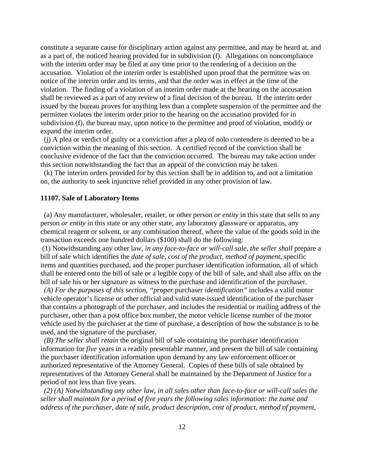constitute a separate cause for disciplinary action against any permittee, and may be heard at, and as a part of, the noticed hearing provided for in subdivision (f). Allegations on noncompliance with the interim order may be filed at any time prior to the rendering of a decision on the accusation. Violation of the interim order is established upon proof that the permittee was on notice of the interim order and its terms, and that the order was in effect at the time of the violation. The finding of a violation of an interim order made at the hearing on the accusation shall be reviewed as a part of any review of a final decision of the bureau. If the interim order issued by the bureau proves for anything less than a complete suspension of the permittee and the permittee violates the interim order prior to the hearing on the accusation provided for in subdivision (f), the bureau may, upon notice to the permittee and proof of violation, modify or expand the interim order.

 (j) A plea or verdict of guilty or a conviction after a plea of nolo contendere is deemed to be a conviction within the meaning of this section. A certified record of the conviction shall be conclusive evidence of the fact that the conviction occurred. The bureau may take action under this section notwithstanding the fact that an appeal of the conviction may be taken.

 (k) The interim orders provided for by this section shall be in addition to, and not a limitation on, the authority to seek injunctive relief provided in any other provision of law.

#### **11107. Sale of Laboratory Items**

 (a) Any manufacturer, wholesaler, retailer, or other person *or entity* in this state that sells to any person *or entity* in this state or any other state, any laboratory glassware or apparatus, any chemical reagent or solvent, or any combination thereof, where the value of the goods sold in the transaction exceeds one hundred dollars (\$100) shall do the following:

 (1) Notwithstanding any other law, *in any face-to-face or will-call sale, the seller shall* prepare a bill of sale which identifies the *date of sale, cost of the product, method of payment*, specific items and quantities purchased, and the proper purchaser identification information, all of which shall be entered onto the bill of sale or a legible copy of the bill of sale, and shall also affix on the bill of sale his or her signature as witness to the purchase and identification of the purchaser.

*(A) For the purposes of this section, "proper* purchaser *identification"* includes a valid motor vehicle operator's license or other official and valid state-issued identification of the purchaser that contains a photograph of the purchaser, and includes the residential or mailing address of the purchaser, other than a post office box number, the motor vehicle license number of the motor vehicle used by the purchaser at the time of purchase, a description of how the substance is to be used, and the signature of the purchaser.

 *(B) The seller shall retain* the original bill of sale containing the purchaser identification information for *five* years in a readily presentable manner, and present the bill of sale containing the purchaser identification information upon demand by any law enforcement officer or authorized representative of the Attorney General. Copies of these bills of sale obtained by representatives of the Attorney General shall be maintained by the Department of Justice for a period of not less than five years.

*(2) (A) Notwithstanding any other law, in all sales other than face-to-face or will-call sales the seller shall maintain for a period of five years the following sales information: the name and address of the purchaser, date of sale, product description, cost of product, method of payment,*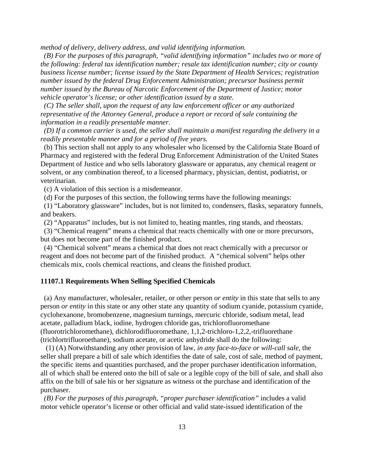*method of delivery, delivery address, and valid identifying information.* 

*(B) For the purposes of this paragraph, "valid identifying information" includes two or more of the following: federal tax identification number; resale tax identification number; city or county business license number; license issued by the State Department of Health Services; registration number issued by the federal Drug Enforcement Administration; precursor business permit number issued by the Bureau of Narcotic Enforcement of the Department of Justice; motor vehicle operator's license; or other identification issued by a state.* 

*(C) The seller shall, upon the request of any law enforcement officer or any authorized representative of the Attorney General, produce a report or record of sale containing the information in a readily presentable manner.* 

*(D) If a common carrier is used, the seller shall maintain a manifest regarding the delivery in a readily presentable manner and for a period of five years.*

 (b) This section shall not apply to any wholesaler who licensed by the California State Board of Pharmacy and registered with the federal Drug Enforcement Administration of the United States Department of Justice and who sells laboratory glassware or apparatus, any chemical reagent or solvent, or any combination thereof, to a licensed pharmacy, physician, dentist, podiatrist, or veterinarian.

(c) A violation of this section is a misdemeanor.

(d) For the purposes of this section, the following terms have the following meanings:

 (1) "Laboratory glassware" includes, but is not limited to, condensers, flasks, separatory funnels, and beakers.

(2) "Apparatus" includes, but is not limited to, heating mantles, ring stands, and rheostats.

 (3) "Chemical reagent" means a chemical that reacts chemically with one or more precursors, but does not become part of the finished product.

 (4) "Chemical solvent" means a chemical that does not react chemically with a precursor or reagent and does not become part of the finished product. A "chemical solvent" helps other chemicals mix, cools chemical reactions, and cleans the finished product.

#### **11107.1 Requirements When Selling Specified Chemicals**

 (a) Any manufacturer, wholesaler, retailer, or other person *or entity* in this state that sells to any person *or entity* in this state or any other state any quantity of sodium cyanide, potassium cyanide, cyclohexanone, bromobenzene, magnesium turnings, mercuric chloride, sodium metal, lead acetate, palladium black, iodine, hydrogen chloride gas, trichlorofluoromethane (fluorotrichloromethane), dichlorodifluoromethane, 1,1,2-trichloro-1,2,2,-trifluorethane (trichlortrifluoroethane), sodium acetate, or acetic anhydride shall do the following:

 (1) (A) Notwithstanding any other provision of law, *in any face-to-face or will-call sale,* the seller shall prepare a bill of sale which identifies the date of sale, cost of sale, method of payment, the specific items and quantities purchased, and the proper purchaser identification information, all of which shall be entered onto the bill of sale or a legible copy of the bill of sale, and shall also affix on the bill of sale his or her signature as witness ot the purchase and identification of the purchaser.

*(B) For the purposes of this paragraph, "proper purchaser identification"* includes a valid motor vehicle operator's license or other official and valid state-issued identification of the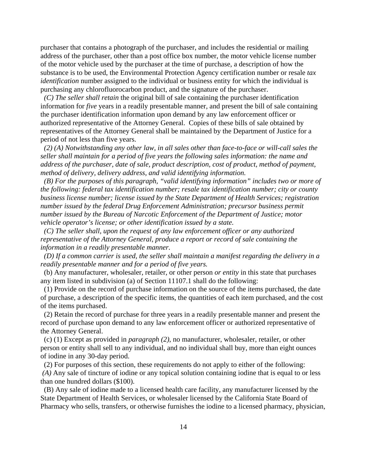purchaser that contains a photograph of the purchaser, and includes the residential or mailing address of the purchaser, other than a post office box number, the motor vehicle license number of the motor vehicle used by the purchaser at the time of purchase, a description of how the substance is to be used, the Environmental Protection Agency certification number or resale *tax identification* number assigned to the individual or business entity for which the individual is purchasing any chlorofluorocarbon product, and the signature of the purchaser.

*(C) The seller shall retain* the original bill of sale containing the purchaser identification information for *five* years in a readily presentable manner, and present the bill of sale containing the purchaser identification information upon demand by any law enforcement officer or authorized representative of the Attorney General. Copies of these bills of sale obtained by representatives of the Attorney General shall be maintained by the Department of Justice for a period of not less than five years.

 *(2) (A) Notwithstanding any other law, in all sales other than face-to-face or will-call sales the seller shall maintain for a period of five years the following sales information: the name and address of the purchaser, date of sale, product description, cost of product, method of payment, method of delivery, delivery address, and valid identifying information.* 

*(B) For the purposes of this paragraph, "valid identifying information" includes two or more of the following: federal tax identification number; resale tax identification number; city or county business license number; license issued by the State Department of Health Services; registration number issued by the federal Drug Enforcement Administration; precursor business permit number issued by the Bureau of Narcotic Enforcement of the Department of Justice; motor vehicle operator's license; or other identification issued by a state.* 

*(C) The seller shall, upon the request of any law enforcement officer or any authorized representative of the Attorney General, produce a report or record of sale containing the information in a readily presentable manner.* 

*(D) If a common carrier is used, the seller shall maintain a manifest regarding the delivery in a readily presentable manner and for a period of five years.*

 (b) Any manufacturer, wholesaler, retailer, or other person *or entity* in this state that purchases any item listed in subdivision (a) of Section 11107.1 shall do the following:

 (1) Provide on the record of purchase information on the source of the items purchased, the date of purchase, a description of the specific items, the quantities of each item purchased, and the cost of the items purchased.

 (2) Retain the record of purchase for three years in a readily presentable manner and present the record of purchase upon demand to any law enforcement officer or authorized representative of the Attorney General.

 (c) (1) Except as provided in *paragraph (2)*, no manufacturer, wholesaler, retailer, or other person or entity shall sell to any individual, and no individual shall buy, more than eight ounces of iodine in any 30-day period.

(2) For purposes of this section, these requirements do not apply to either of the following:

*(A)* Any sale of tincture of iodine or any topical solution containing iodine that is equal to or less than one hundred dollars (\$100).

 (B) Any sale of iodine made to a licensed health care facility, any manufacturer licensed by the State Department of Health Services, or wholesaler licensed by the California State Board of Pharmacy who sells, transfers, or otherwise furnishes the iodine to a licensed pharmacy, physician,